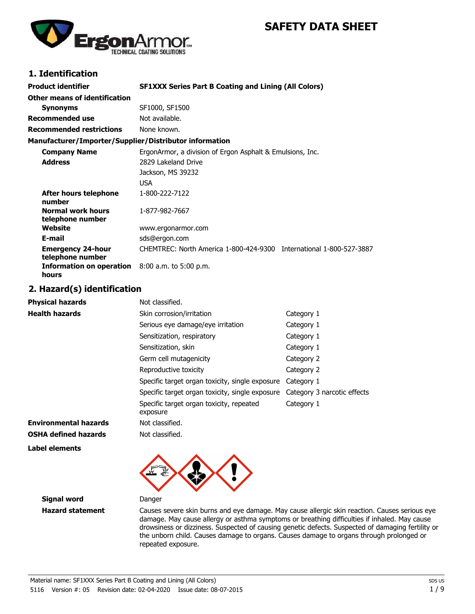# **SAFETY DATA SHEET**



# **1. Identification**

| <b>Product identifier</b>                                         | <b>SF1XXX Series Part B Coating and Lining (All Colors)</b>         |
|-------------------------------------------------------------------|---------------------------------------------------------------------|
| Other means of identification                                     |                                                                     |
| <b>Synonyms</b>                                                   | SF1000, SF1500                                                      |
| <b>Recommended use</b>                                            | Not available.                                                      |
| <b>Recommended restrictions</b>                                   | None known.                                                         |
| Manufacturer/Importer/Supplier/Distributor information            |                                                                     |
| <b>Company Name</b>                                               | ErgonArmor, a division of Ergon Asphalt & Emulsions, Inc.           |
| <b>Address</b>                                                    | 2829 Lakeland Drive                                                 |
|                                                                   | Jackson, MS 39232                                                   |
|                                                                   | USA                                                                 |
| After hours telephone<br>number                                   | 1-800-222-7122                                                      |
| <b>Normal work hours</b><br>telephone number                      | 1-877-982-7667                                                      |
| Website                                                           | www.ergonarmor.com                                                  |
| E-mail                                                            | sds@ergon.com                                                       |
| <b>Emergency 24-hour</b><br>telephone number                      | CHEMTREC: North America 1-800-424-9300 International 1-800-527-3887 |
| <b>Information on operation</b> $8:00$ a.m. to 5:00 p.m.<br>hours |                                                                     |

### **2. Hazard(s) identification**

| <b>Physical hazards</b>      | Not classified.                                      |                             |
|------------------------------|------------------------------------------------------|-----------------------------|
| <b>Health hazards</b>        | Skin corrosion/irritation                            | Category 1                  |
|                              | Serious eye damage/eye irritation                    | Category 1                  |
|                              | Sensitization, respiratory                           | Category 1                  |
|                              | Sensitization, skin                                  | Category 1                  |
|                              | Germ cell mutagenicity                               | Category 2                  |
|                              | Reproductive toxicity                                | Category 2                  |
|                              | Specific target organ toxicity, single exposure      | Category 1                  |
|                              | Specific target organ toxicity, single exposure      | Category 3 narcotic effects |
|                              | Specific target organ toxicity, repeated<br>exposure | Category 1                  |
| <b>Environmental hazards</b> | Not classified.                                      |                             |
| <b>OSHA defined hazards</b>  | Not classified.                                      |                             |

**Label elements**



**Signal word** Danger

**Hazard statement** Causes severe skin burns and eye damage. May cause allergic skin reaction. Causes serious eye damage. May cause allergy or asthma symptoms or breathing difficulties if inhaled. May cause drowsiness or dizziness. Suspected of causing genetic defects. Suspected of damaging fertility or the unborn child. Causes damage to organs. Causes damage to organs through prolonged or repeated exposure.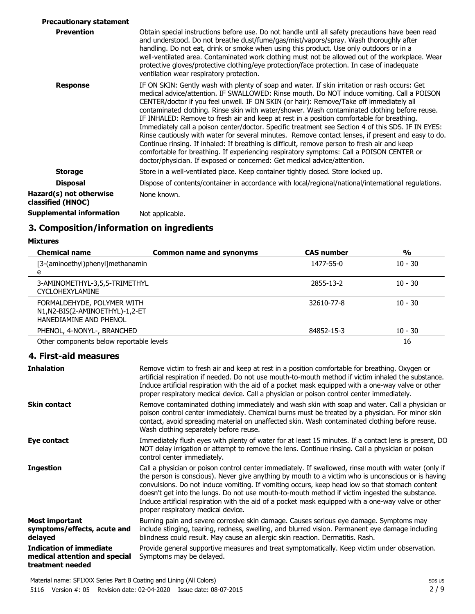| <b>Precautionary statement</b>               |                                                                                                                                                                                                                                                                                                                                                                                                                                                                                                                                                                                                                                                                                                                                                                                                                                                                                                                                                                          |
|----------------------------------------------|--------------------------------------------------------------------------------------------------------------------------------------------------------------------------------------------------------------------------------------------------------------------------------------------------------------------------------------------------------------------------------------------------------------------------------------------------------------------------------------------------------------------------------------------------------------------------------------------------------------------------------------------------------------------------------------------------------------------------------------------------------------------------------------------------------------------------------------------------------------------------------------------------------------------------------------------------------------------------|
| <b>Prevention</b>                            | Obtain special instructions before use. Do not handle until all safety precautions have been read<br>and understood. Do not breathe dust/fume/gas/mist/vapors/spray. Wash thoroughly after<br>handling. Do not eat, drink or smoke when using this product. Use only outdoors or in a<br>well-ventilated area. Contaminated work clothing must not be allowed out of the workplace. Wear<br>protective gloves/protective clothing/eye protection/face protection. In case of inadequate<br>ventilation wear respiratory protection.                                                                                                                                                                                                                                                                                                                                                                                                                                      |
| <b>Response</b>                              | IF ON SKIN: Gently wash with plenty of soap and water. If skin irritation or rash occurs: Get<br>medical advice/attention. IF SWALLOWED: Rinse mouth. Do NOT induce vomiting. Call a POISON<br>CENTER/doctor if you feel unwell. IF ON SKIN (or hair): Remove/Take off immediately all<br>contaminated clothing. Rinse skin with water/shower. Wash contaminated clothing before reuse.<br>IF INHALED: Remove to fresh air and keep at rest in a position comfortable for breathing.<br>Immediately call a poison center/doctor. Specific treatment see Section 4 of this SDS. IF IN EYES:<br>Rinse cautiously with water for several minutes. Remove contact lenses, if present and easy to do.<br>Continue rinsing. If inhaled: If breathing is difficult, remove person to fresh air and keep<br>comfortable for breathing. If experiencing respiratory symptoms: Call a POISON CENTER or<br>doctor/physician. If exposed or concerned: Get medical advice/attention. |
| <b>Storage</b>                               | Store in a well-ventilated place. Keep container tightly closed. Store locked up.                                                                                                                                                                                                                                                                                                                                                                                                                                                                                                                                                                                                                                                                                                                                                                                                                                                                                        |
| <b>Disposal</b>                              | Dispose of contents/container in accordance with local/regional/national/international regulations.                                                                                                                                                                                                                                                                                                                                                                                                                                                                                                                                                                                                                                                                                                                                                                                                                                                                      |
| Hazard(s) not otherwise<br>classified (HNOC) | None known.                                                                                                                                                                                                                                                                                                                                                                                                                                                                                                                                                                                                                                                                                                                                                                                                                                                                                                                                                              |
| <b>Supplemental information</b>              | Not applicable.                                                                                                                                                                                                                                                                                                                                                                                                                                                                                                                                                                                                                                                                                                                                                                                                                                                                                                                                                          |
|                                              |                                                                                                                                                                                                                                                                                                                                                                                                                                                                                                                                                                                                                                                                                                                                                                                                                                                                                                                                                                          |

# **3. Composition/information on ingredients**

**Mixtures**

| <b>Chemical name</b>                                                                   | <b>Common name and synonyms</b> | <b>CAS number</b> | $\frac{0}{0}$ |
|----------------------------------------------------------------------------------------|---------------------------------|-------------------|---------------|
| [3-(aminoethyl)phenyl]methanamin<br>e                                                  |                                 | 1477-55-0         | $10 - 30$     |
| 3-AMINOMETHYL-3,5,5-TRIMETHYL<br><b>CYCLOHEXYLAMINE</b>                                |                                 | 2855-13-2         | $10 - 30$     |
| FORMALDEHYDE, POLYMER WITH<br>N1,N2-BIS(2-AMINOETHYL)-1,2-ET<br>HANEDIAMINE AND PHENOL |                                 | 32610-77-8        | $10 - 30$     |
| PHENOL, 4-NONYL-, BRANCHED                                                             |                                 | 84852-15-3        | $10 - 30$     |
| Other components below reportable levels                                               |                                 |                   | 16            |

#### **4. First-aid measures**

| <b>Inhalation</b>                                                                   | Remove victim to fresh air and keep at rest in a position comfortable for breathing. Oxygen or<br>artificial respiration if needed. Do not use mouth-to-mouth method if victim inhaled the substance.<br>Induce artificial respiration with the aid of a pocket mask equipped with a one-way valve or other<br>proper respiratory medical device. Call a physician or poison control center immediately.                                                                                                                                                   |
|-------------------------------------------------------------------------------------|------------------------------------------------------------------------------------------------------------------------------------------------------------------------------------------------------------------------------------------------------------------------------------------------------------------------------------------------------------------------------------------------------------------------------------------------------------------------------------------------------------------------------------------------------------|
| <b>Skin contact</b>                                                                 | Remove contaminated clothing immediately and wash skin with soap and water. Call a physician or<br>poison control center immediately. Chemical burns must be treated by a physician. For minor skin<br>contact, avoid spreading material on unaffected skin. Wash contaminated clothing before reuse.<br>Wash clothing separately before reuse.                                                                                                                                                                                                            |
| Eye contact                                                                         | Immediately flush eyes with plenty of water for at least 15 minutes. If a contact lens is present, DO<br>NOT delay irrigation or attempt to remove the lens. Continue rinsing. Call a physician or poison<br>control center immediately.                                                                                                                                                                                                                                                                                                                   |
| <b>Ingestion</b>                                                                    | Call a physician or poison control center immediately. If swallowed, rinse mouth with water (only if<br>the person is conscious). Never give anything by mouth to a victim who is unconscious or is having<br>convulsions. Do not induce vomiting. If vomiting occurs, keep head low so that stomach content<br>doesn't get into the lungs. Do not use mouth-to-mouth method if victim ingested the substance.<br>Induce artificial respiration with the aid of a pocket mask equipped with a one-way valve or other<br>proper respiratory medical device. |
| Most important<br>symptoms/effects, acute and<br>delayed                            | Burning pain and severe corrosive skin damage. Causes serious eye damage. Symptoms may<br>include stinging, tearing, redness, swelling, and blurred vision. Permanent eye damage including<br>blindness could result. May cause an allergic skin reaction. Dermatitis. Rash.                                                                                                                                                                                                                                                                               |
| <b>Indication of immediate</b><br>medical attention and special<br>treatment needed | Provide general supportive measures and treat symptomatically. Keep victim under observation.<br>Symptoms may be delayed.                                                                                                                                                                                                                                                                                                                                                                                                                                  |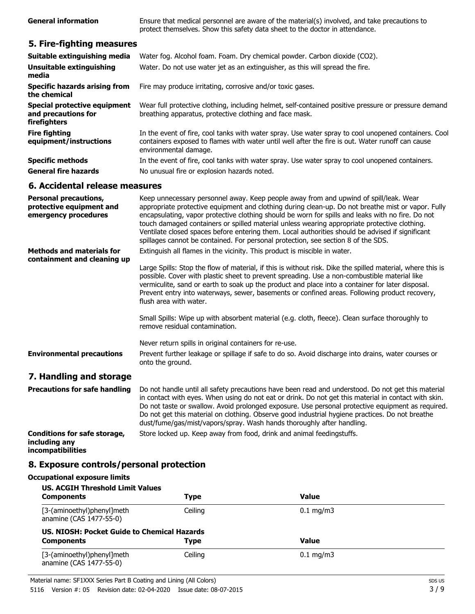| <b>General information</b>                                                       | Ensure that medical personnel are aware of the material(s) involved, and take precautions to<br>protect themselves. Show this safety data sheet to the doctor in attendance.                                                                                                                                                                                                                                                                                                                                                                                                              |  |
|----------------------------------------------------------------------------------|-------------------------------------------------------------------------------------------------------------------------------------------------------------------------------------------------------------------------------------------------------------------------------------------------------------------------------------------------------------------------------------------------------------------------------------------------------------------------------------------------------------------------------------------------------------------------------------------|--|
| 5. Fire-fighting measures                                                        |                                                                                                                                                                                                                                                                                                                                                                                                                                                                                                                                                                                           |  |
| Suitable extinguishing media                                                     | Water fog. Alcohol foam. Foam. Dry chemical powder. Carbon dioxide (CO2).                                                                                                                                                                                                                                                                                                                                                                                                                                                                                                                 |  |
| <b>Unsuitable extinguishing</b><br>media                                         | Water. Do not use water jet as an extinguisher, as this will spread the fire.                                                                                                                                                                                                                                                                                                                                                                                                                                                                                                             |  |
| <b>Specific hazards arising from</b><br>the chemical                             | Fire may produce irritating, corrosive and/or toxic gases.                                                                                                                                                                                                                                                                                                                                                                                                                                                                                                                                |  |
| Special protective equipment<br>and precautions for<br>firefighters              | Wear full protective clothing, including helmet, self-contained positive pressure or pressure demand<br>breathing apparatus, protective clothing and face mask.                                                                                                                                                                                                                                                                                                                                                                                                                           |  |
| <b>Fire fighting</b><br>equipment/instructions                                   | In the event of fire, cool tanks with water spray. Use water spray to cool unopened containers. Cool<br>containers exposed to flames with water until well after the fire is out. Water runoff can cause<br>environmental damage.                                                                                                                                                                                                                                                                                                                                                         |  |
| <b>Specific methods</b>                                                          | In the event of fire, cool tanks with water spray. Use water spray to cool unopened containers.                                                                                                                                                                                                                                                                                                                                                                                                                                                                                           |  |
| <b>General fire hazards</b>                                                      | No unusual fire or explosion hazards noted.                                                                                                                                                                                                                                                                                                                                                                                                                                                                                                                                               |  |
| 6. Accidental release measures                                                   |                                                                                                                                                                                                                                                                                                                                                                                                                                                                                                                                                                                           |  |
| <b>Personal precautions,</b><br>protective equipment and<br>emergency procedures | Keep unnecessary personnel away. Keep people away from and upwind of spill/leak. Wear<br>appropriate protective equipment and clothing during clean-up. Do not breathe mist or vapor. Fully<br>encapsulating, vapor protective clothing should be worn for spills and leaks with no fire. Do not<br>touch damaged containers or spilled material unless wearing appropriate protective clothing.<br>Ventilate closed spaces before entering them. Local authorities should be advised if significant<br>spillages cannot be contained. For personal protection, see section 8 of the SDS. |  |
| <b>Methods and materials for</b>                                                 | Extinguish all flames in the vicinity. This product is miscible in water.                                                                                                                                                                                                                                                                                                                                                                                                                                                                                                                 |  |
| containment and cleaning up                                                      | Large Spills: Stop the flow of material, if this is without risk. Dike the spilled material, where this is<br>possible. Cover with plastic sheet to prevent spreading. Use a non-combustible material like<br>vermiculite, sand or earth to soak up the product and place into a container for later disposal.<br>Prevent entry into waterways, sewer, basements or confined areas. Following product recovery,<br>flush area with water.                                                                                                                                                 |  |
|                                                                                  | Small Spills: Wipe up with absorbent material (e.g. cloth, fleece). Clean surface thoroughly to<br>remove residual contamination.                                                                                                                                                                                                                                                                                                                                                                                                                                                         |  |
|                                                                                  | Never return spills in original containers for re-use.                                                                                                                                                                                                                                                                                                                                                                                                                                                                                                                                    |  |
| <b>Environmental precautions</b>                                                 | Prevent further leakage or spillage if safe to do so. Avoid discharge into drains, water courses or                                                                                                                                                                                                                                                                                                                                                                                                                                                                                       |  |

#### **7. Handling and storage**

| <b>Precautions for safe handling</b>                                             | Do not handle until all safety precautions have been read and understood. Do not get this material<br>in contact with eyes. When using do not eat or drink. Do not get this material in contact with skin.<br>Do not taste or swallow. Avoid prolonged exposure. Use personal protective equipment as required.<br>Do not get this material on clothing. Observe good industrial hygiene practices. Do not breathe<br>dust/fume/gas/mist/vapors/spray. Wash hands thoroughly after handling. |
|----------------------------------------------------------------------------------|----------------------------------------------------------------------------------------------------------------------------------------------------------------------------------------------------------------------------------------------------------------------------------------------------------------------------------------------------------------------------------------------------------------------------------------------------------------------------------------------|
| <b>Conditions for safe storage,</b><br>including any<br><i>incompatibilities</i> | Store locked up. Keep away from food, drink and animal feedingstuffs.                                                                                                                                                                                                                                                                                                                                                                                                                        |

### **8. Exposure controls/personal protection**

onto the ground.

### **Occupational exposure limits US. ACGIH Threshold Limit Values Components Components Type Value** [3-(aminoethyl)phenyl]meth Ceiling Ceiling Ceiling 0.1 mg/m3 anamine (CAS 1477-55-0) **US. NIOSH: Pocket Guide to Chemical Hazards Components Type Value** [3-(aminoethyl)phenyl]meth Ceiling Ceiling Ceiling 0.1 mg/m3 anamine (CAS 1477-55-0)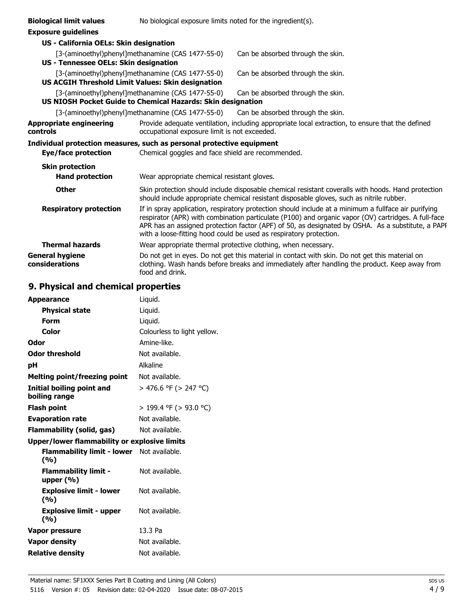| <b>Biological limit values</b>                                        | No biological exposure limits noted for the ingredient(s).  |                                                                                                                                                                                                                                                                                                                                                                                        |
|-----------------------------------------------------------------------|-------------------------------------------------------------|----------------------------------------------------------------------------------------------------------------------------------------------------------------------------------------------------------------------------------------------------------------------------------------------------------------------------------------------------------------------------------------|
| <b>Exposure guidelines</b>                                            |                                                             |                                                                                                                                                                                                                                                                                                                                                                                        |
| US - California OELs: Skin designation                                |                                                             |                                                                                                                                                                                                                                                                                                                                                                                        |
|                                                                       | [3-(aminoethyl)phenyl]methanamine (CAS 1477-55-0)           | Can be absorbed through the skin.                                                                                                                                                                                                                                                                                                                                                      |
| US - Tennessee OELs: Skin designation                                 |                                                             |                                                                                                                                                                                                                                                                                                                                                                                        |
|                                                                       | [3-(aminoethyl)phenyl]methanamine (CAS 1477-55-0)           | Can be absorbed through the skin.                                                                                                                                                                                                                                                                                                                                                      |
| US ACGIH Threshold Limit Values: Skin designation                     |                                                             |                                                                                                                                                                                                                                                                                                                                                                                        |
|                                                                       | [3-(aminoethyl)phenyl]methanamine (CAS 1477-55-0)           | Can be absorbed through the skin.                                                                                                                                                                                                                                                                                                                                                      |
|                                                                       | US NIOSH Pocket Guide to Chemical Hazards: Skin designation |                                                                                                                                                                                                                                                                                                                                                                                        |
|                                                                       | [3-(aminoethyl)phenyl]methanamine (CAS 1477-55-0)           | Can be absorbed through the skin.                                                                                                                                                                                                                                                                                                                                                      |
| <b>Appropriate engineering</b><br>controls                            | occupational exposure limit is not exceeded.                | Provide adequate ventilation, including appropriate local extraction, to ensure that the defined                                                                                                                                                                                                                                                                                       |
| Individual protection measures, such as personal protective equipment |                                                             |                                                                                                                                                                                                                                                                                                                                                                                        |
| Eye/face protection                                                   | Chemical goggles and face shield are recommended.           |                                                                                                                                                                                                                                                                                                                                                                                        |
| <b>Skin protection</b>                                                |                                                             |                                                                                                                                                                                                                                                                                                                                                                                        |
| <b>Hand protection</b>                                                | Wear appropriate chemical resistant gloves.                 |                                                                                                                                                                                                                                                                                                                                                                                        |
| <b>Other</b>                                                          |                                                             | Skin protection should include disposable chemical resistant coveralls with hoods. Hand protection<br>should include appropriate chemical resistant disposable gloves, such as nitrile rubber.                                                                                                                                                                                         |
| <b>Respiratory protection</b>                                         |                                                             | If in spray application, respiratory protection should include at a minimum a fullface air purifying<br>respirator (APR) with combination particulate (P100) and organic vapor (OV) cartridges. A full-face<br>APR has an assigned protection factor (APF) of 50, as designated by OSHA. As a substitute, a PAPF<br>with a loose-fitting hood could be used as respiratory protection. |
| <b>Thermal hazards</b>                                                |                                                             | Wear appropriate thermal protective clothing, when necessary.                                                                                                                                                                                                                                                                                                                          |
| <b>General hygiene</b><br>considerations                              | food and drink.                                             | Do not get in eyes. Do not get this material in contact with skin. Do not get this material on<br>clothing. Wash hands before breaks and immediately after handling the product. Keep away from                                                                                                                                                                                        |

# **9. Physical and chemical properties**

| <b>Appearance</b>                                       | Liquid.                     |
|---------------------------------------------------------|-----------------------------|
| <b>Physical state</b>                                   | Liquid.                     |
| Form                                                    | Liquid.                     |
| Color                                                   | Colourless to light yellow. |
| Odor                                                    | Amine-like.                 |
| <b>Odor threshold</b>                                   | Not available.              |
| рH                                                      | Alkaline                    |
| <b>Melting point/freezing point</b>                     | Not available.              |
| <b>Initial boiling point and</b><br>boiling range       | > 476.6 °F (> 247 °C)       |
| <b>Flash point</b>                                      | $>$ 199.4 °F ( $>$ 93.0 °C) |
| <b>Evaporation rate</b>                                 | Not available.              |
| Flammability (solid, gas)                               | Not available.              |
| Upper/lower flammability or explosive limits            |                             |
| <b>Flammability limit - lower</b> Not available.<br>(%) |                             |
| <b>Flammability limit -</b><br>upper $(\% )$            | Not available.              |
| <b>Explosive limit - lower</b><br>(%)                   | Not available.              |
| <b>Explosive limit - upper</b><br>(%)                   | Not available.              |
| Vapor pressure                                          | 13.3 Pa                     |
| <b>Vapor density</b>                                    | Not available.              |
| <b>Relative density</b>                                 | Not available.              |
|                                                         |                             |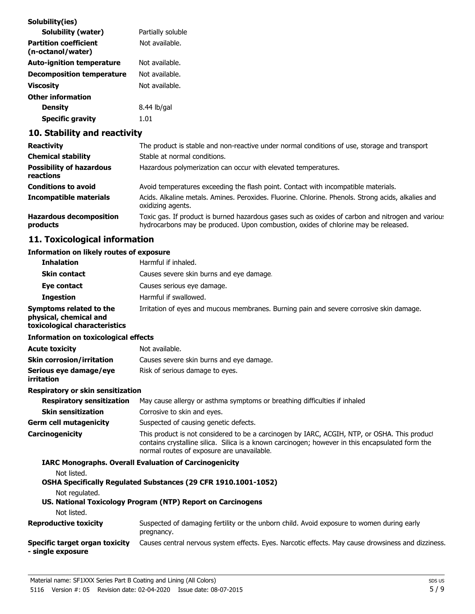| Solubility(ies)                                   |                   |
|---------------------------------------------------|-------------------|
| Solubility (water)                                | Partially soluble |
| <b>Partition coefficient</b><br>(n-octanol/water) | Not available.    |
| <b>Auto-ignition temperature</b>                  | Not available.    |
| <b>Decomposition temperature</b>                  | Not available.    |
| Viscosity                                         | Not available.    |
| Other information                                 |                   |
| Density                                           | 8.44 lb/gal       |
| <b>Specific gravity</b>                           | 1.01              |
|                                                   |                   |

# **10. Stability and reactivity**

| <b>Reactivity</b>                            | The product is stable and non-reactive under normal conditions of use, storage and transport                                                                                            |
|----------------------------------------------|-----------------------------------------------------------------------------------------------------------------------------------------------------------------------------------------|
| <b>Chemical stability</b>                    | Stable at normal conditions.                                                                                                                                                            |
| <b>Possibility of hazardous</b><br>reactions | Hazardous polymerization can occur with elevated temperatures.                                                                                                                          |
| <b>Conditions to avoid</b>                   | Avoid temperatures exceeding the flash point. Contact with incompatible materials.                                                                                                      |
| <b>Incompatible materials</b>                | Acids. Alkaline metals. Amines. Peroxides. Fluorine. Chlorine. Phenols. Strong acids, alkalies and<br>oxidizing agents.                                                                 |
| <b>Hazardous decomposition</b><br>products   | Toxic gas. If product is burned hazardous gases such as oxides of carbon and nitrogen and variou:<br>hydrocarbons may be produced. Upon combustion, oxides of chlorine may be released. |

# **11. Toxicological information**

### **Information on likely routes of exposure**

| <b>Inhalation</b>                                                                  | Harmful if inhaled.                                                                                                                                                                                                                            |
|------------------------------------------------------------------------------------|------------------------------------------------------------------------------------------------------------------------------------------------------------------------------------------------------------------------------------------------|
| <b>Skin contact</b>                                                                | Causes severe skin burns and eye damage.                                                                                                                                                                                                       |
| Eye contact                                                                        | Causes serious eye damage.                                                                                                                                                                                                                     |
| <b>Ingestion</b>                                                                   | Harmful if swallowed.                                                                                                                                                                                                                          |
| Symptoms related to the<br>physical, chemical and<br>toxicological characteristics | Irritation of eyes and mucous membranes. Burning pain and severe corrosive skin damage.                                                                                                                                                        |
| <b>Information on toxicological effects</b>                                        |                                                                                                                                                                                                                                                |
| <b>Acute toxicity</b>                                                              | Not available.                                                                                                                                                                                                                                 |
| <b>Skin corrosion/irritation</b>                                                   | Causes severe skin burns and eye damage.                                                                                                                                                                                                       |
| Serious eye damage/eye<br>irritation                                               | Risk of serious damage to eyes.                                                                                                                                                                                                                |
| <b>Respiratory or skin sensitization</b>                                           |                                                                                                                                                                                                                                                |
| <b>Respiratory sensitization</b>                                                   | May cause allergy or asthma symptoms or breathing difficulties if inhaled                                                                                                                                                                      |
| <b>Skin sensitization</b>                                                          | Corrosive to skin and eyes.                                                                                                                                                                                                                    |
| <b>Germ cell mutagenicity</b>                                                      | Suspected of causing genetic defects.                                                                                                                                                                                                          |
| Carcinogenicity                                                                    | This product is not considered to be a carcinogen by IARC, ACGIH, NTP, or OSHA. This product<br>contains crystalline silica. Silica is a known carcinogen; however in this encapsulated form the<br>normal routes of exposure are unavailable. |
|                                                                                    | <b>IARC Monographs. Overall Evaluation of Carcinogenicity</b>                                                                                                                                                                                  |
| Not listed.                                                                        |                                                                                                                                                                                                                                                |
|                                                                                    | OSHA Specifically Regulated Substances (29 CFR 1910.1001-1052)                                                                                                                                                                                 |
| Not regulated.                                                                     | US. National Toxicology Program (NTP) Report on Carcinogens                                                                                                                                                                                    |
| Not listed.                                                                        |                                                                                                                                                                                                                                                |
| <b>Reproductive toxicity</b>                                                       | Suspected of damaging fertility or the unborn child. Avoid exposure to women during early<br>pregnancy.                                                                                                                                        |
| <b>Specific target organ toxicity</b><br>- single exposure                         | Causes central nervous system effects. Eyes. Narcotic effects. May cause drowsiness and dizziness.                                                                                                                                             |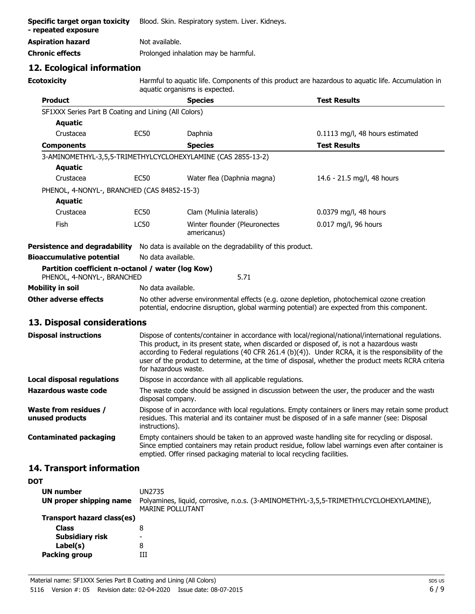| Specific target organ toxicity<br>- repeated exposure | Blood. Skin. Respiratory system. Liver. Kidneys. |
|-------------------------------------------------------|--------------------------------------------------|
| <b>Aspiration hazard</b>                              | Not available.                                   |
| <b>Chronic effects</b>                                | Prolonged inhalation may be harmful.             |

### **12. Ecological information**

**Ecotoxicity**

Harmful to aquatic life. Components of this product are hazardous to aquatic life. Accumulation in aquatic organisms is expected.

| <b>Product</b>                                                                  |                                                                                                                                                                                                                                                                                                                                                                                                                                         | <b>Species</b>                                                                                                                                                                             | <b>Test Results</b>                                                                                 |  |
|---------------------------------------------------------------------------------|-----------------------------------------------------------------------------------------------------------------------------------------------------------------------------------------------------------------------------------------------------------------------------------------------------------------------------------------------------------------------------------------------------------------------------------------|--------------------------------------------------------------------------------------------------------------------------------------------------------------------------------------------|-----------------------------------------------------------------------------------------------------|--|
| SF1XXX Series Part B Coating and Lining (All Colors)                            |                                                                                                                                                                                                                                                                                                                                                                                                                                         |                                                                                                                                                                                            |                                                                                                     |  |
| <b>Aquatic</b>                                                                  |                                                                                                                                                                                                                                                                                                                                                                                                                                         |                                                                                                                                                                                            |                                                                                                     |  |
| Crustacea                                                                       | <b>EC50</b>                                                                                                                                                                                                                                                                                                                                                                                                                             | Daphnia                                                                                                                                                                                    | 0.1113 mg/l, 48 hours estimated                                                                     |  |
| <b>Components</b>                                                               |                                                                                                                                                                                                                                                                                                                                                                                                                                         | <b>Species</b>                                                                                                                                                                             | <b>Test Results</b>                                                                                 |  |
| 3-AMINOMETHYL-3,5,5-TRIMETHYLCYCLOHEXYLAMINE (CAS 2855-13-2)                    |                                                                                                                                                                                                                                                                                                                                                                                                                                         |                                                                                                                                                                                            |                                                                                                     |  |
| <b>Aquatic</b>                                                                  |                                                                                                                                                                                                                                                                                                                                                                                                                                         |                                                                                                                                                                                            |                                                                                                     |  |
| Crustacea                                                                       | <b>EC50</b>                                                                                                                                                                                                                                                                                                                                                                                                                             | Water flea (Daphnia magna)                                                                                                                                                                 | 14.6 - 21.5 mg/l, 48 hours                                                                          |  |
| PHENOL, 4-NONYL-, BRANCHED (CAS 84852-15-3)                                     |                                                                                                                                                                                                                                                                                                                                                                                                                                         |                                                                                                                                                                                            |                                                                                                     |  |
| <b>Aquatic</b>                                                                  |                                                                                                                                                                                                                                                                                                                                                                                                                                         |                                                                                                                                                                                            |                                                                                                     |  |
| Crustacea                                                                       | <b>EC50</b>                                                                                                                                                                                                                                                                                                                                                                                                                             | Clam (Mulinia lateralis)                                                                                                                                                                   | 0.0379 mg/l, 48 hours                                                                               |  |
| Fish                                                                            | <b>LC50</b>                                                                                                                                                                                                                                                                                                                                                                                                                             | Winter flounder (Pleuronectes<br>americanus)                                                                                                                                               | 0.017 mg/l, 96 hours                                                                                |  |
|                                                                                 |                                                                                                                                                                                                                                                                                                                                                                                                                                         | Persistence and degradability No data is available on the degradability of this product.                                                                                                   |                                                                                                     |  |
| <b>Bioaccumulative potential</b>                                                | No data available.                                                                                                                                                                                                                                                                                                                                                                                                                      |                                                                                                                                                                                            |                                                                                                     |  |
| Partition coefficient n-octanol / water (log Kow)<br>PHENOL, 4-NONYL-, BRANCHED |                                                                                                                                                                                                                                                                                                                                                                                                                                         | 5.71                                                                                                                                                                                       |                                                                                                     |  |
| Mobility in soil                                                                | No data available.                                                                                                                                                                                                                                                                                                                                                                                                                      |                                                                                                                                                                                            |                                                                                                     |  |
| Other adverse effects                                                           |                                                                                                                                                                                                                                                                                                                                                                                                                                         | No other adverse environmental effects (e.g. ozone depletion, photochemical ozone creation<br>potential, endocrine disruption, global warming potential) are expected from this component. |                                                                                                     |  |
| 13. Disposal considerations                                                     |                                                                                                                                                                                                                                                                                                                                                                                                                                         |                                                                                                                                                                                            |                                                                                                     |  |
| <b>Disposal instructions</b>                                                    | Dispose of contents/container in accordance with local/regional/national/international regulations.<br>This product, in its present state, when discarded or disposed of, is not a hazardous waste<br>according to Federal regulations (40 CFR 261.4 (b)(4)). Under RCRA, it is the responsibility of the<br>user of the product to determine, at the time of disposal, whether the product meets RCRA criteria<br>for hazardous waste. |                                                                                                                                                                                            |                                                                                                     |  |
| <b>Local disposal regulations</b>                                               |                                                                                                                                                                                                                                                                                                                                                                                                                                         | Dispose in accordance with all applicable regulations.                                                                                                                                     |                                                                                                     |  |
| <b>Hazardous waste code</b>                                                     | disposal company.                                                                                                                                                                                                                                                                                                                                                                                                                       | The waste code should be assigned in discussion between the user, the producer and the waste                                                                                               |                                                                                                     |  |
| Waste from residues /<br>unused products                                        | instructions).                                                                                                                                                                                                                                                                                                                                                                                                                          | residues. This material and its container must be disposed of in a safe manner (see: Disposal                                                                                              | Dispose of in accordance with local regulations. Empty containers or liners may retain some product |  |
| <b>Contaminated packaging</b>                                                   |                                                                                                                                                                                                                                                                                                                                                                                                                                         | Empty containers should be taken to an approved waste handling site for recycling or disposal.<br>emptied. Offer rinsed packaging material to local recycling facilities.                  | Since emptied containers may retain product residue, follow label warnings even after container is  |  |

# **14. Transport information**

| <b>DOT</b>                 |                                                                                                           |
|----------------------------|-----------------------------------------------------------------------------------------------------------|
| <b>UN number</b>           | UN2735                                                                                                    |
| UN proper shipping name    | Polyamines, liquid, corrosive, n.o.s. (3-AMINOMETHYL-3,5,5-TRIMETHYLCYCLOHEXYLAMINE),<br>MARINE POLLUTANT |
| Transport hazard class(es) |                                                                                                           |
| <b>Class</b>               | 8                                                                                                         |
| <b>Subsidiary risk</b>     | $\overline{\phantom{0}}$                                                                                  |
| Label(s)                   | 8                                                                                                         |
| <b>Packing group</b>       | Ш                                                                                                         |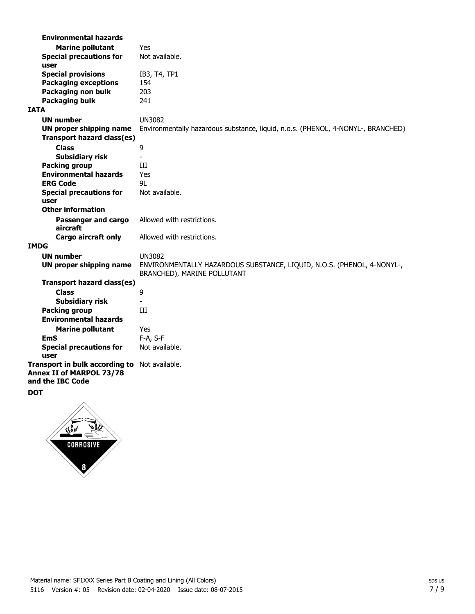| <b>Environmental hazards</b>                                                                  |                                                                                                       |
|-----------------------------------------------------------------------------------------------|-------------------------------------------------------------------------------------------------------|
| <b>Marine pollutant</b>                                                                       | Yes                                                                                                   |
| <b>Special precautions for</b><br>user                                                        | Not available.                                                                                        |
| <b>Special provisions</b>                                                                     | IB3, T4, TP1                                                                                          |
| <b>Packaging exceptions</b>                                                                   | 154                                                                                                   |
| Packaging non bulk                                                                            | 203                                                                                                   |
| <b>Packaging bulk</b>                                                                         | 241                                                                                                   |
| <b>IATA</b>                                                                                   |                                                                                                       |
| <b>UN number</b>                                                                              | <b>UN3082</b>                                                                                         |
| <b>UN proper shipping name</b>                                                                | Environmentally hazardous substance, liquid, n.o.s. (PHENOL, 4-NONYL-, BRANCHED)                      |
| Transport hazard class(es)                                                                    |                                                                                                       |
| <b>Class</b>                                                                                  | 9                                                                                                     |
| <b>Subsidiary risk</b>                                                                        | $\overline{a}$                                                                                        |
| <b>Packing group</b><br><b>Environmental hazards</b>                                          | Ш                                                                                                     |
| <b>ERG Code</b>                                                                               | Yes<br>91                                                                                             |
|                                                                                               | Not available.                                                                                        |
| <b>Special precautions for</b><br>user                                                        |                                                                                                       |
| <b>Other information</b>                                                                      |                                                                                                       |
| Passenger and cargo<br>aircraft                                                               | Allowed with restrictions.                                                                            |
| <b>Cargo aircraft only</b>                                                                    | Allowed with restrictions.                                                                            |
| <b>IMDG</b>                                                                                   |                                                                                                       |
| <b>UN number</b>                                                                              | <b>UN3082</b>                                                                                         |
| <b>UN proper shipping name</b>                                                                | ENVIRONMENTALLY HAZARDOUS SUBSTANCE, LIQUID, N.O.S. (PHENOL, 4-NONYL-,<br>BRANCHED), MARINE POLLUTANT |
| Transport hazard class(es)                                                                    |                                                                                                       |
| <b>Class</b>                                                                                  | 9                                                                                                     |
| <b>Subsidiary risk</b>                                                                        |                                                                                                       |
| <b>Packing group</b>                                                                          | III                                                                                                   |
| <b>Environmental hazards</b>                                                                  |                                                                                                       |
| <b>Marine pollutant</b>                                                                       | Yes                                                                                                   |
| <b>EmS</b>                                                                                    | F-A, S-F                                                                                              |
| <b>Special precautions for</b><br>user                                                        | Not available.                                                                                        |
| Transport in bulk according to Not available.<br>Annex II of MARPOL 73/78<br>and the IBC Code |                                                                                                       |
| <b>DOT</b>                                                                                    |                                                                                                       |

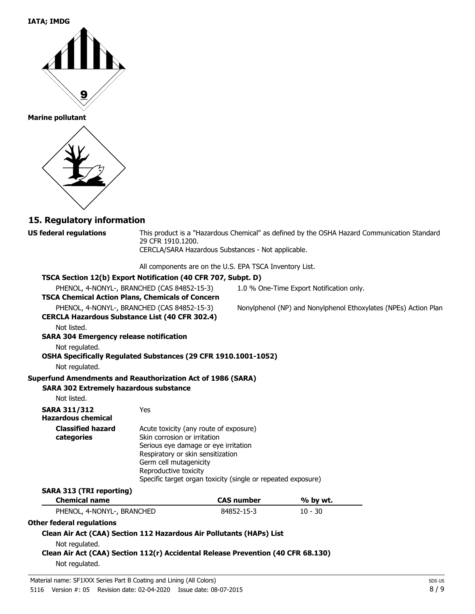#### **IATA; IMDG**



#### **Marine pollutant**



### **15. Regulatory information**

**US federal regulations**

This product is a "Hazardous Chemical" as defined by the OSHA Hazard Communication Standard, 29 CFR 1910.1200. CERCLA/SARA Hazardous Substances - Not applicable.

All components are on the U.S. EPA TSCA Inventory List.

| TSCA Section 12(b) Export Notification (40 CFR 707, Subpt. D)                    |                                                              |                   |                                                                 |  |
|----------------------------------------------------------------------------------|--------------------------------------------------------------|-------------------|-----------------------------------------------------------------|--|
|                                                                                  | PHENOL, 4-NONYL-, BRANCHED (CAS 84852-15-3)                  |                   | 1.0 % One-Time Export Notification only.                        |  |
| <b>TSCA Chemical Action Plans, Chemicals of Concern</b>                          |                                                              |                   |                                                                 |  |
|                                                                                  | PHENOL, 4-NONYL-, BRANCHED (CAS 84852-15-3)                  |                   | Nonylphenol (NP) and Nonylphenol Ethoxylates (NPEs) Action Plan |  |
| <b>CERCLA Hazardous Substance List (40 CFR 302.4)</b>                            |                                                              |                   |                                                                 |  |
| Not listed.                                                                      |                                                              |                   |                                                                 |  |
| <b>SARA 304 Emergency release notification</b>                                   |                                                              |                   |                                                                 |  |
| Not regulated.                                                                   |                                                              |                   |                                                                 |  |
| OSHA Specifically Regulated Substances (29 CFR 1910.1001-1052)                   |                                                              |                   |                                                                 |  |
| Not regulated.                                                                   |                                                              |                   |                                                                 |  |
| Superfund Amendments and Reauthorization Act of 1986 (SARA)                      |                                                              |                   |                                                                 |  |
| <b>SARA 302 Extremely hazardous substance</b>                                    |                                                              |                   |                                                                 |  |
| Not listed.                                                                      |                                                              |                   |                                                                 |  |
| <b>SARA 311/312</b>                                                              | Yes                                                          |                   |                                                                 |  |
| <b>Hazardous chemical</b>                                                        |                                                              |                   |                                                                 |  |
| <b>Classified hazard</b>                                                         | Acute toxicity (any route of exposure)                       |                   |                                                                 |  |
| categories                                                                       | Skin corrosion or irritation                                 |                   |                                                                 |  |
|                                                                                  | Serious eye damage or eye irritation                         |                   |                                                                 |  |
|                                                                                  | Respiratory or skin sensitization<br>Germ cell mutagenicity  |                   |                                                                 |  |
|                                                                                  | Reproductive toxicity                                        |                   |                                                                 |  |
|                                                                                  | Specific target organ toxicity (single or repeated exposure) |                   |                                                                 |  |
| <b>SARA 313 (TRI reporting)</b>                                                  |                                                              |                   |                                                                 |  |
| <b>Chemical name</b>                                                             |                                                              | <b>CAS number</b> | % by wt.                                                        |  |
| PHENOL, 4-NONYL-, BRANCHED                                                       |                                                              | 84852-15-3        | $10 - 30$                                                       |  |
| Other federal regulations                                                        |                                                              |                   |                                                                 |  |
| Clean Air Act (CAA) Section 112 Hazardous Air Pollutants (HAPs) List             |                                                              |                   |                                                                 |  |
| Not regulated.                                                                   |                                                              |                   |                                                                 |  |
| Clean Air Act (CAA) Section 112(r) Accidental Release Prevention (40 CFR 68.130) |                                                              |                   |                                                                 |  |
| Not regulated.                                                                   |                                                              |                   |                                                                 |  |